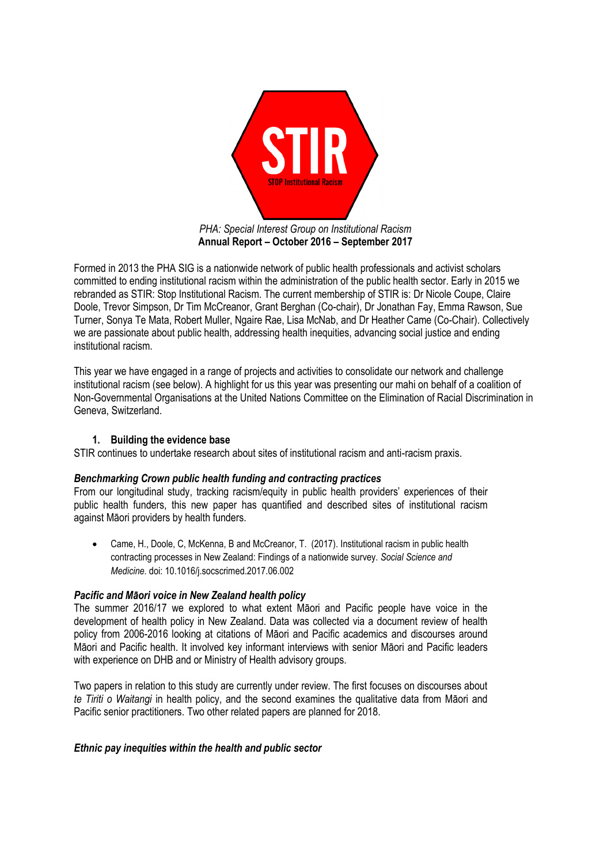

**Annual Report – October 2016 – September 2017**

Formed in 2013 the PHA SIG is a nationwide network of public health professionals and activist scholars committed to ending institutional racism within the administration of the public health sector. Early in 2015 we rebranded as STIR: Stop Institutional Racism. The current membership of STIR is: Dr Nicole Coupe, Claire Doole, Trevor Simpson, Dr Tim McCreanor, Grant Berghan (Co-chair), Dr Jonathan Fay, Emma Rawson, Sue Turner, Sonya Te Mata, Robert Muller, Ngaire Rae, Lisa McNab, and Dr Heather Came (Co-Chair). Collectively we are passionate about public health, addressing health inequities, advancing social justice and ending institutional racism.

This year we have engaged in a range of projects and activities to consolidate our network and challenge institutional racism (see below). A highlight for us this year was presenting our mahi on behalf of a coalition of Non-Governmental Organisations at the United Nations Committee on the Elimination of Racial Discrimination in Geneva, Switzerland.

## **1. Building the evidence base**

STIR continues to undertake research about sites of institutional racism and anti-racism praxis.

## *Benchmarking Crown public health funding and contracting practices*

From our longitudinal study, tracking racism/equity in public health providers' experiences of their public health funders, this new paper has quantified and described sites of institutional racism against Māori providers by health funders.

• Came, H., Doole, C, McKenna, B and McCreanor, T. (2017). Institutional racism in public health contracting processes in New Zealand: Findings of a nationwide survey. *Social Science and Medicine.* doi: 10.1016/j.socscrimed.2017.06.002

## *Pacific and Māori voice in New Zealand health policy*

The summer 2016/17 we explored to what extent Māori and Pacific people have voice in the development of health policy in New Zealand. Data was collected via a document review of health policy from 2006-2016 looking at citations of Māori and Pacific academics and discourses around Māori and Pacific health. It involved key informant interviews with senior Māori and Pacific leaders with experience on DHB and or Ministry of Health advisory groups.

Two papers in relation to this study are currently under review. The first focuses on discourses about *te Tiriti o Waitangi* in health policy, and the second examines the qualitative data from Māori and Pacific senior practitioners. Two other related papers are planned for 2018.

## *Ethnic pay inequities within the health and public sector*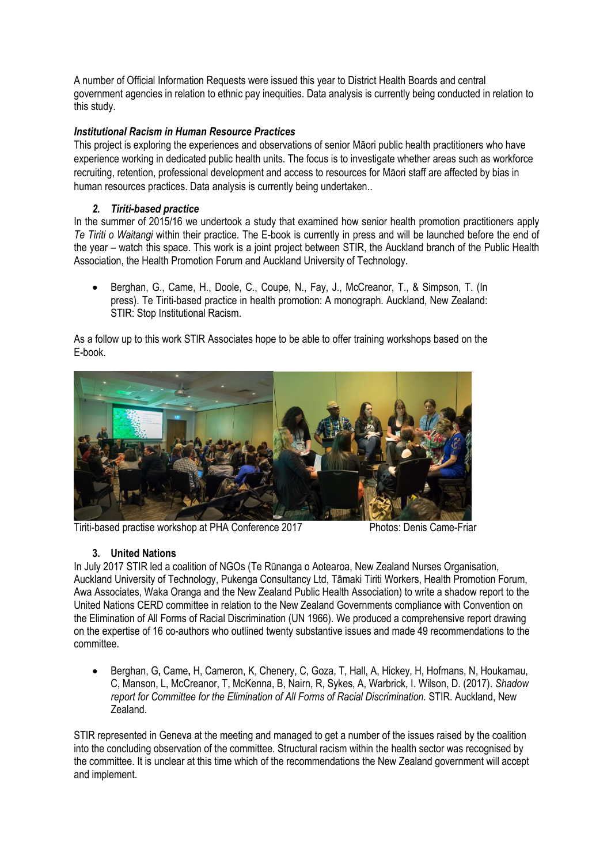A number of Official Information Requests were issued this year to District Health Boards and central government agencies in relation to ethnic pay inequities. Data analysis is currently being conducted in relation to this study.

## *Institutional Racism in Human Resource Practices*

This project is exploring the experiences and observations of senior Māori public health practitioners who have experience working in dedicated public health units. The focus is to investigate whether areas such as workforce recruiting, retention, professional development and access to resources for Māori staff are affected by bias in human resources practices. Data analysis is currently being undertaken..

## *2. Tiriti-based practice*

In the summer of 2015/16 we undertook a study that examined how senior health promotion practitioners apply *Te Tiriti o Waitangi* within their practice. The E-book is currently in press and will be launched before the end of the year – watch this space. This work is a joint project between STIR, the Auckland branch of the Public Health Association, the Health Promotion Forum and Auckland University of Technology.

• Berghan, G., Came, H., Doole, C., Coupe, N., Fay, J., McCreanor, T., & Simpson, T. (In press). Te Tiriti-based practice in health promotion: A monograph. Auckland, New Zealand: STIR: Stop Institutional Racism.

As a follow up to this work STIR Associates hope to be able to offer training workshops based on the E-book.



Tiriti-based practise workshop at PHA Conference 2017 Photos: Denis Came-Friar

## **3. United Nations**

In July 2017 STIR led a coalition of NGOs (Te Rūnanga o Aotearoa, New Zealand Nurses Organisation, Auckland University of Technology, Pukenga Consultancy Ltd, Tāmaki Tiriti Workers, Health Promotion Forum, Awa Associates, Waka Oranga and the New Zealand Public Health Association) to write a shadow report to the United Nations CERD committee in relation to the New Zealand Governments compliance with Convention on the Elimination of All Forms of Racial Discrimination (UN 1966). We produced a comprehensive report drawing on the expertise of 16 co-authors who outlined twenty substantive issues and made 49 recommendations to the committee.

• Berghan, G**,** Came**,** H, Cameron, K, Chenery, C, Goza, T, Hall, A, Hickey, H, Hofmans, N, Houkamau, C, Manson, L, McCreanor, T, McKenna, B, Nairn, R, Sykes, A, Warbrick, I. Wilson, D. (2017). *Shadow report for Committee for the Elimination of All Forms of Racial Discrimination.* STIR. Auckland, New Zealand.

STIR represented in Geneva at the meeting and managed to get a number of the issues raised by the coalition into the concluding observation of the committee. Structural racism within the health sector was recognised by the committee. It is unclear at this time which of the recommendations the New Zealand government will accept and implement.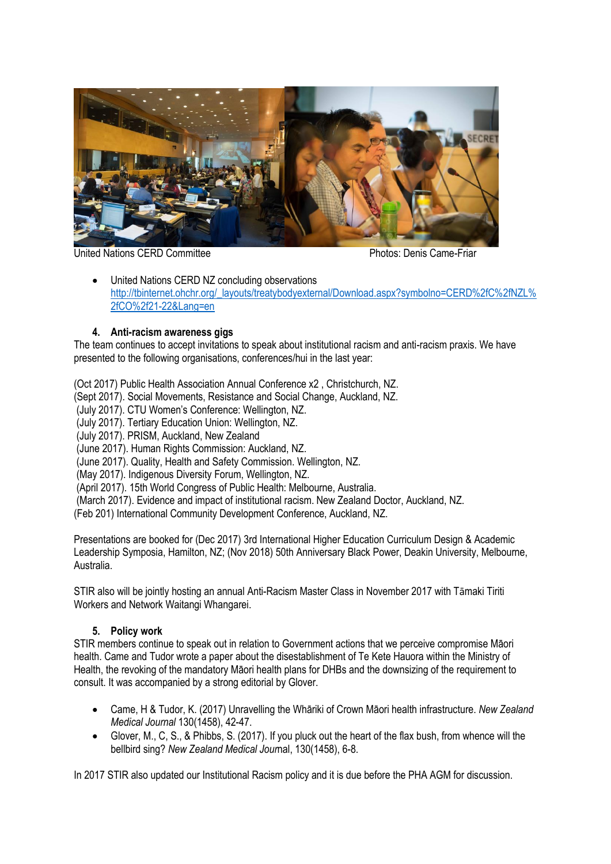

United Nations CERD Committee **Photos: Denis Came-Friar** Photos: Denis Came-Friar

• United Nations CERD NZ concluding observations [http://tbinternet.ohchr.org/\\_layouts/treatybodyexternal/Download.aspx?symbolno=CERD%2fC%2fNZL%](http://tbinternet.ohchr.org/_layouts/treatybodyexternal/Download.aspx?symbolno=CERD%2fC%2fNZL%2fCO%2f21-22&Lang=en) [2fCO%2f21-22&Lang=en](http://tbinternet.ohchr.org/_layouts/treatybodyexternal/Download.aspx?symbolno=CERD%2fC%2fNZL%2fCO%2f21-22&Lang=en)

# **4. Anti-racism awareness gigs**

The team continues to accept invitations to speak about institutional racism and anti-racism praxis. We have presented to the following organisations, conferences/hui in the last year:

(Oct 2017) Public Health Association Annual Conference x2 , Christchurch, NZ.

(Sept 2017). Social Movements, Resistance and Social Change, Auckland, NZ.

(July 2017). CTU Women's Conference: Wellington, NZ.

(July 2017). Tertiary Education Union: Wellington, NZ.

(July 2017). PRISM, Auckland, New Zealand

(June 2017). Human Rights Commission: Auckland, NZ.

(June 2017). Quality, Health and Safety Commission. Wellington, NZ.

(May 2017). Indigenous Diversity Forum, Wellington, NZ.

(April 2017). 15th World Congress of Public Health: Melbourne, Australia.

(March 2017). Evidence and impact of institutional racism. New Zealand Doctor, Auckland, NZ.

(Feb 201) International Community Development Conference, Auckland, NZ.

Presentations are booked for (Dec 2017) 3rd International Higher Education Curriculum Design & Academic Leadership Symposia, Hamilton, NZ; (Nov 2018) 50th Anniversary Black Power, Deakin University, Melbourne, Australia.

STIR also will be jointly hosting an annual Anti-Racism Master Class in November 2017 with Tāmaki Tiriti Workers and Network Waitangi Whangarei.

## **5. Policy work**

STIR members continue to speak out in relation to Government actions that we perceive compromise Māori health. Came and Tudor wrote a paper about the disestablishment of Te Kete Hauora within the Ministry of Health, the revoking of the mandatory Māori health plans for DHBs and the downsizing of the requirement to consult. It was accompanied by a strong editorial by Glover.

- Came, H & Tudor, K. (2017) Unravelling the Whāriki of Crown Māori health infrastructure. *New Zealand Medical Journal* 130(1458), 42-47.
- Glover, M., C, S., & Phibbs, S. (2017). If you pluck out the heart of the flax bush, from whence will the bellbird sing? *New Zealand Medical Jour*nal, 130(1458), 6-8.

In 2017 STIR also updated our Institutional Racism policy and it is due before the PHA AGM for discussion.